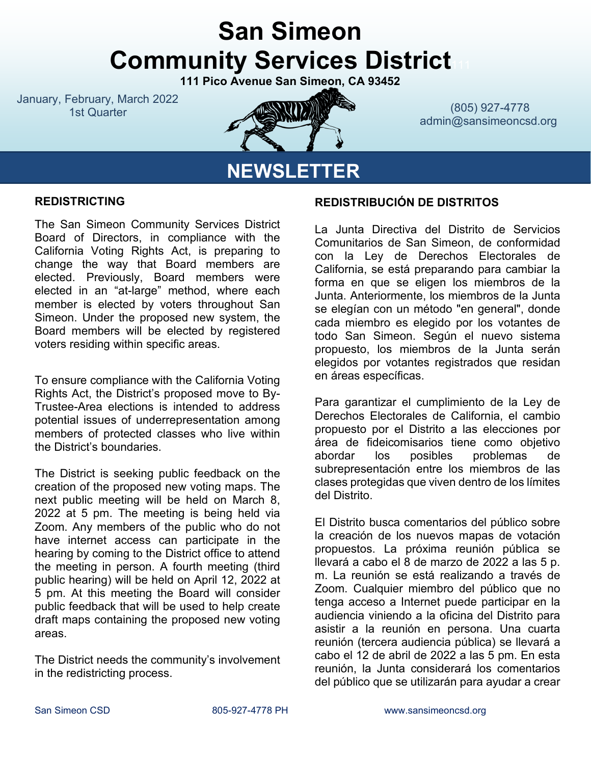# **San Simeon Community Services District**

**111 Pico Avenue San Simeon, CA 93452**

January, February, March 2022



**NEWSLETTER**

1st Quarter (805) 927-4778 admin@sansimeoncsd.org

#### **REDISTRICTING**

The San Simeon Community Services District Board of Directors, in compliance with the California Voting Rights Act, is preparing to change the way that Board members are elected. Previously, Board members were elected in an "at-large" method, where each member is elected by voters throughout San Simeon. Under the proposed new system, the Board members will be elected by registered voters residing within specific areas.

To ensure compliance with the California Voting Rights Act, the District's proposed move to By-Trustee-Area elections is intended to address potential issues of underrepresentation among members of protected classes who live within the District's boundaries.

The District is seeking public feedback on the creation of the proposed new voting maps. The next public meeting will be held on March 8, 2022 at 5 pm. The meeting is being held via Zoom. Any members of the public who do not have internet access can participate in the hearing by coming to the District office to attend the meeting in person. A fourth meeting (third public hearing) will be held on April 12, 2022 at 5 pm. At this meeting the Board will consider public feedback that will be used to help create draft maps containing the proposed new voting areas.

The District needs the community's involvement in the redistricting process.

#### **REDISTRIBUCIÓN DE DISTRITOS**

La Junta Directiva del Distrito de Servicios Comunitarios de San Simeon, de conformidad con la Ley de Derechos Electorales de California, se está preparando para cambiar la forma en que se eligen los miembros de la Junta. Anteriormente, los miembros de la Junta se elegían con un método "en general", donde cada miembro es elegido por los votantes de todo San Simeon. Según el nuevo sistema propuesto, los miembros de la Junta serán elegidos por votantes registrados que residan en áreas específicas.

Para garantizar el cumplimiento de la Ley de Derechos Electorales de California, el cambio propuesto por el Distrito a las elecciones por área de fideicomisarios tiene como objetivo abordar los posibles problemas de subrepresentación entre los miembros de las clases protegidas que viven dentro de los límites del Distrito.

El Distrito busca comentarios del público sobre la creación de los nuevos mapas de votación propuestos. La próxima reunión pública se llevará a cabo el 8 de marzo de 2022 a las 5 p. m. La reunión se está realizando a través de Zoom. Cualquier miembro del público que no tenga acceso a Internet puede participar en la audiencia viniendo a la oficina del Distrito para asistir a la reunión en persona. Una cuarta reunión (tercera audiencia pública) se llevará a cabo el 12 de abril de 2022 a las 5 pm. En esta reunión, la Junta considerará los comentarios del público que se utilizarán para ayudar a crear